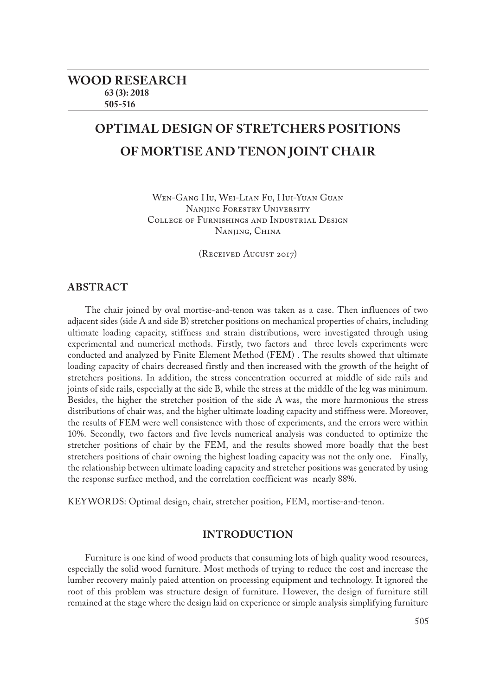# **OPTIMAL DESIGN OF STRETCHERS POSITIONS OF MORTISE AND TENON JOINT CHAIR**

Wen-Gang Hu, Wei-Lian Fu, Hui-Yuan Guan Nanjing Forestry University College of Furnishings and Industrial Design Nanjing, China

(Received August 2017)

# **ABSTRACT**

The chair joined by oval mortise-and-tenon was taken as a case. Then influences of two adjacent sides (side A and side B) stretcher positions on mechanical properties of chairs, including ultimate loading capacity, stiffness and strain distributions, were investigated through using experimental and numerical methods. Firstly, two factors and three levels experiments were conducted and analyzed by Finite Element Method (FEM) . The results showed that ultimate loading capacity of chairs decreased firstly and then increased with the growth of the height of stretchers positions. In addition, the stress concentration occurred at middle of side rails and joints of side rails, especially at the side B, while the stress at the middle of the leg was minimum. Besides, the higher the stretcher position of the side A was, the more harmonious the stress distributions of chair was, and the higher ultimate loading capacity and stiffness were. Moreover, the results of FEM were well consistence with those of experiments, and the errors were within 10%. Secondly, two factors and five levels numerical analysis was conducted to optimize the stretcher positions of chair by the FEM, and the results showed more boadly that the best stretchers positions of chair owning the highest loading capacity was not the only one. Finally, the relationship between ultimate loading capacity and stretcher positions was generated by using the response surface method, and the correlation coefficient was nearly 88%.

KEYWORDS: Optimal design, chair, stretcher position, FEM, mortise-and-tenon.

# **INTRODUCTION**

Furniture is one kind of wood products that consuming lots of high quality wood resources, especially the solid wood furniture. Most methods of trying to reduce the cost and increase the lumber recovery mainly paied attention on processing equipment and technology. It ignored the root of this problem was structure design of furniture. However, the design of furniture still remained at the stage where the design laid on experience or simple analysis simplifying furniture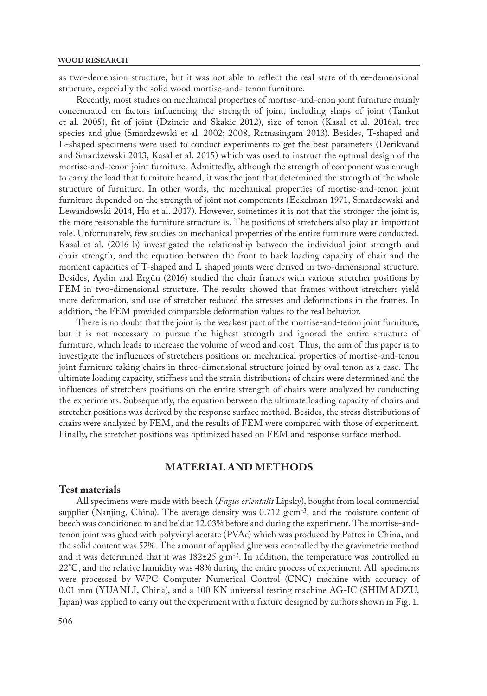as two-demension structure, but it was not able to reflect the real state of three-demensional structure, especially the solid wood mortise-and- tenon furniture.

Recently, most studies on mechanical properties of mortise-and-enon joint furniture mainly concentrated on factors influencing the strength of joint, including shaps of joint (Tankut et al. 2005), fit of joint (Dzincic and Skakic 2012), size of tenon (Kasal et al. 2016a), tree species and glue (Smardzewski et al. 2002; 2008, Ratnasingam 2013). Besides, T-shaped and L-shaped specimens were used to conduct experiments to get the best parameters (Derikvand and Smardzewski 2013, Kasal et al. 2015) which was used to instruct the optimal design of the mortise-and-tenon joint furniture. Admittedly, although the strength of component was enough to carry the load that furniture beared, it was the jont that determined the strength of the whole structure of furniture. In other words, the mechanical properties of mortise-and-tenon joint furniture depended on the strength of joint not components (Eckelman 1971, Smardzewski and Lewandowski 2014, Hu et al. 2017). However, sometimes it is not that the stronger the joint is, the more reasonable the furniture structure is. The positions of stretchers also play an important role. Unfortunately, few studies on mechanical properties of the entire furniture were conducted. Kasal et al. (2016 b) investigated the relationship between the individual joint strength and chair strength, and the equation between the front to back loading capacity of chair and the moment capacities of T-shaped and L shaped joints were derived in two-dimensional structure. Besides, Aydin and Ergün (2016) studied the chair frames with various stretcher positions by FEM in two-dimensional structure. The results showed that frames without stretchers yield more deformation, and use of stretcher reduced the stresses and deformations in the frames. In addition, the FEM provided comparable deformation values to the real behavior.

There is no doubt that the joint is the weakest part of the mortise-and-tenon joint furniture, but it is not necessary to pursue the highest strength and ignored the entire structure of furniture, which leads to increase the volume of wood and cost. Thus, the aim of this paper is to investigate the influences of stretchers positions on mechanical properties of mortise-and-tenon joint furniture taking chairs in three-dimensional structure joined by oval tenon as a case. The ultimate loading capacity, stiffness and the strain distributions of chairs were determined and the influences of stretchers positions on the entire strength of chairs were analyzed by conducting the experiments. Subsequently, the equation between the ultimate loading capacity of chairs and stretcher positions was derived by the response surface method. Besides, the stress distributions of chairs were analyzed by FEM, and the results of FEM were compared with those of experiment. Finally, the stretcher positions was optimized based on FEM and response surface method.

# **MATERIAL AND METHODS**

#### **Test materials**

All specimens were made with beech (*Fagus orientalis* Lipsky), bought from local commercial supplier (Nanjing, China). The average density was  $0.712$   $\rm gcm^{-3}$ , and the moisture content of beech was conditioned to and held at 12.03% before and during the experiment. The mortise-andtenon joint was glued with polyvinyl acetate (PVAc) which was produced by Pattex in China, and the solid content was 52%. The amount of applied glue was controlled by the gravimetric method and it was determined that it was  $182\pm25$   $\rm{g\,m^2}$ . In addition, the temperature was controlled in 22°C, and the relative humidity was 48% during the entire process of experiment. All specimens were processed by WPC Computer Numerical Control (CNC) machine with accuracy of 0.01 mm (YUANLI, China), and a 100 KN universal testing machine AG-IC (SHIMADZU, Japan) was applied to carry out the experiment with a fixture designed by authors shown in Fig. 1.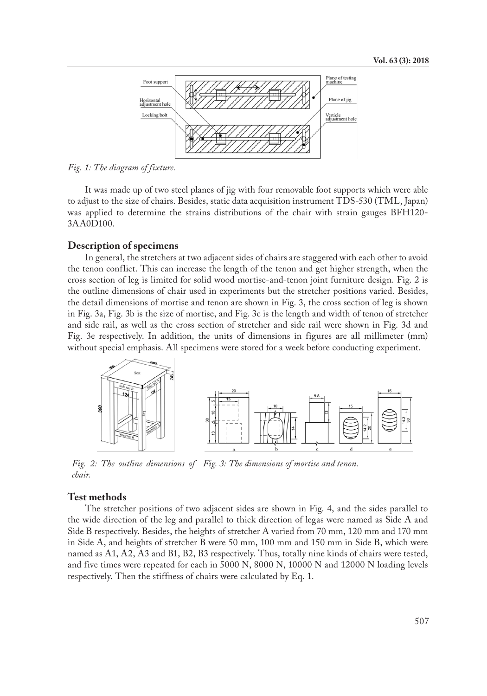

*Fig. 1: The diagram of fixture.*

It was made up of two steel planes of jig with four removable foot supports which were able to adjust to the size of chairs. Besides, static data acquisition instrument TDS-530 (TML, Japan) was applied to determine the strains distributions of the chair with strain gauges BFH120- 3AA0D100.

#### **Description of specimens**

In general, the stretchers at two adjacent sides of chairs are staggered with each other to avoid the tenon conflict. This can increase the length of the tenon and get higher strength, when the cross section of leg is limited for solid wood mortise-and-tenon joint furniture design. Fig. 2 is the outline dimensions of chair used in experiments but the stretcher positions varied. Besides, the detail dimensions of mortise and tenon are shown in Fig. 3, the cross section of leg is shown in Fig. 3a, Fig. 3b is the size of mortise, and Fig. 3c is the length and width of tenon of stretcher and side rail, as well as the cross section of stretcher and side rail were shown in Fig. 3d and Fig. 3e respectively. In addition, the units of dimensions in figures are all millimeter (mm) without special emphasis. All specimens were stored for a week before conducting experiment.



*Fig. 2: The outline dimensions of Fig. 3: The dimensions of mortise and tenon. chair.*

### **Test methods**

The stretcher positions of two adjacent sides are shown in Fig. 4, and the sides parallel to the wide direction of the leg and parallel to thick direction of legas were named as Side A and Side B respectively. Besides, the heights of stretcher A varied from 70 mm, 120 mm and 170 mm in Side A, and heights of stretcher B were 50 mm, 100 mm and 150 mm in Side B, which were named as A1, A2, A3 and B1, B2, B3 respectively. Thus, totally nine kinds of chairs were tested, and five times were repeated for each in 5000 N, 8000 N, 10000 N and 12000 N loading levels respectively. Then the stiffness of chairs were calculated by Eq. 1.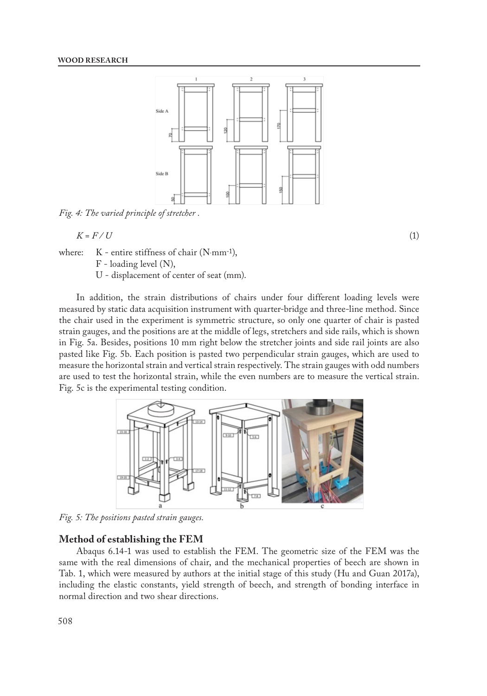

*Fig. 4: The varied principle of stretcher .*

$$
K = F / U \tag{1}
$$

where:  $K$  - entire stiffness of chair ( $N$ ·mm<sup>-1</sup>),

F - loading level (N),

U - displacement of center of seat (mm).

In addition, the strain distributions of chairs under four different loading levels were measured by static data acquisition instrument with quarter-bridge and three-line method. Since the chair used in the experiment is symmetric structure, so only one quarter of chair is pasted strain gauges, and the positions are at the middle of legs, stretchers and side rails, which is shown in Fig. 5a. Besides, positions 10 mm right below the stretcher joints and side rail joints are also pasted like Fig. 5b. Each position is pasted two perpendicular strain gauges, which are used to measure the horizontal strain and vertical strain respectively. The strain gauges with odd numbers are used to test the horizontal strain, while the even numbers are to measure the vertical strain. Fig. 5c is the experimental testing condition.



*Fig. 5: The positions pasted strain gauges.*

#### **Method of establishing the FEM**

Abaqus 6.14-1 was used to establish the FEM. The geometric size of the FEM was the same with the real dimensions of chair, and the mechanical properties of beech are shown in Tab. 1, which were measured by authors at the initial stage of this study (Hu and Guan 2017a), including the elastic constants, yield strength of beech, and strength of bonding interface in normal direction and two shear directions.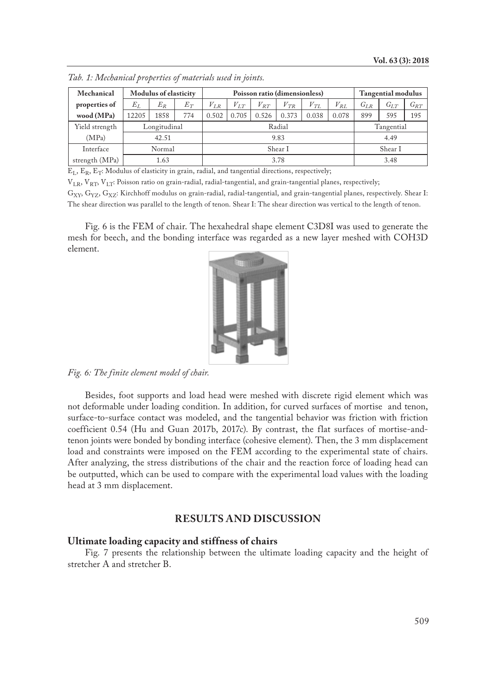| Mechanical     | <b>Modulus of elasticity</b> |       |       | Poisson ratio (dimensionless) |          |          |          |          |                               | <b>Tangential modulus</b> |          |          |
|----------------|------------------------------|-------|-------|-------------------------------|----------|----------|----------|----------|-------------------------------|---------------------------|----------|----------|
| properties of  | $E_I$                        | $E_R$ | $E_T$ | $V_{I.R}$                     | $V_{LT}$ | $V_{RT}$ | $V_{TR}$ | $V_{TL}$ | $V^{\vphantom{\dagger}}_{RL}$ | $G_{I,R}$                 | $G_{LT}$ | $G_{RT}$ |
| wood (MPa)     | 12205                        | 1858  | 774   | 0.502                         | 0.705    | 0.526    | 0.373    | 0.038    | 0.078                         | 899                       | 595      | 195      |
| Yield strength | Longitudinal                 |       |       | Radial                        |          |          |          |          |                               | Tangential                |          |          |
| (MPa)          | 42.51                        |       |       | 9.83                          |          |          |          |          |                               | 4.49                      |          |          |
| Interface      | Normal                       |       |       | Shear I                       |          |          |          |          |                               | Shear I                   |          |          |
| strength (MPa) | 1.63                         |       |       | 3.78                          |          |          |          |          |                               | 3.48                      |          |          |

*Tab. 1: Mechanical properties of materials used in joints.*

 $E_L$ ,  $E_R$ ,  $E_T$ : Modulus of elasticity in grain, radial, and tangential directions, respectively;

 $V_{LR}$ ,  $V_{RT}$ ,  $V_{LT}$ : Poisson ratio on grain-radial, radial-tangential, and grain-tangential planes, respectively;

G<sub>XY</sub>, G<sub>YZ</sub>, G<sub>XZ</sub>: Kirchhoff modulus on grain-radial, radial-tangential, and grain-tangential planes, respectively. Shear I: The shear direction was parallel to the length of tenon. Shear I: The shear direction was vertical to the length of tenon.

Fig. 6 is the FEM of chair. The hexahedral shape element C3D8I was used to generate the mesh for beech, and the bonding interface was regarded as a new layer meshed with COH3D element.



*Fig. 6: The finite element model of chair.*

Besides, foot supports and load head were meshed with discrete rigid element which was not deformable under loading condition. In addition, for curved surfaces of mortise and tenon, surface-to-surface contact was modeled, and the tangential behavior was friction with friction coefficient 0.54 (Hu and Guan 2017b, 2017c). By contrast, the flat surfaces of mortise-andtenon joints were bonded by bonding interface (cohesive element). Then, the 3 mm displacement load and constraints were imposed on the FEM according to the experimental state of chairs. After analyzing, the stress distributions of the chair and the reaction force of loading head can be outputted, which can be used to compare with the experimental load values with the loading head at 3 mm displacement.

# **RESULTS AND DISCUSSION**

### **Ultimate loading capacity and stiffness of chairs**

Fig. 7 presents the relationship between the ultimate loading capacity and the height of stretcher A and stretcher B.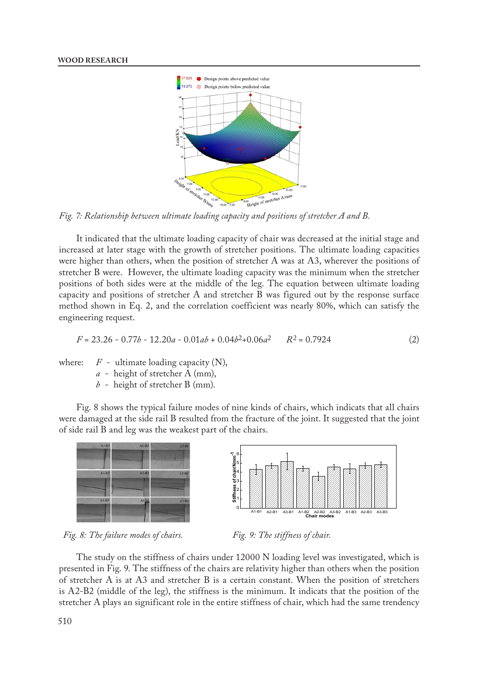

*Fig. 7: Relationship between ultimate loading capacity and positions of stretcher A and B.*

It indicated that the ultimate loading capacity of chair was decreased at the initial stage and increased at later stage with the growth of stretcher positions. The ultimate loading capacities were higher than others, when the position of stretcher A was at A3, wherever the positions of stretcher B were. However, the ultimate loading capacity was the minimum when the stretcher positions of both sides were at the middle of the leg. The equation between ultimate loading capacity and positions of stretcher A and stretcher B was figured out by the response surface method shown in Eq. 2, and the correlation coefficient was nearly 80%, which can satisfy the engineering request.

$$
F = 23.26 - 0.77b - 12.20a - 0.01ab + 0.04b^2 + 0.06a^2 \qquad R^2 = 0.7924
$$
 (2)

where:  $F$  - ultimate loading capacity  $(N)$ ,

- *a* height of stretcher A (mm),
- *b* height of stretcher B (mm).

Fig. 8 shows the typical failure modes of nine kinds of chairs, which indicats that all chairs were damaged at the side rail B resulted from the fracture of the joint. It suggested that the joint of side rail B and leg was the weakest part of the chairs.





*Fig. 8: The failure modes of chairs. Fig. 9: The stiffness of chair.*

The study on the stiffness of chairs under 12000 N loading level was investigated, which is presented in Fig. 9. The stiffness of the chairs are relativity higher than others when the position of stretcher A is at A3 and stretcher B is a certain constant. When the position of stretchers is A2-B2 (middle of the leg), the stiffness is the minimum. It indicats that the position of the stretcher A plays an significant role in the entire stiffness of chair, which had the same trendency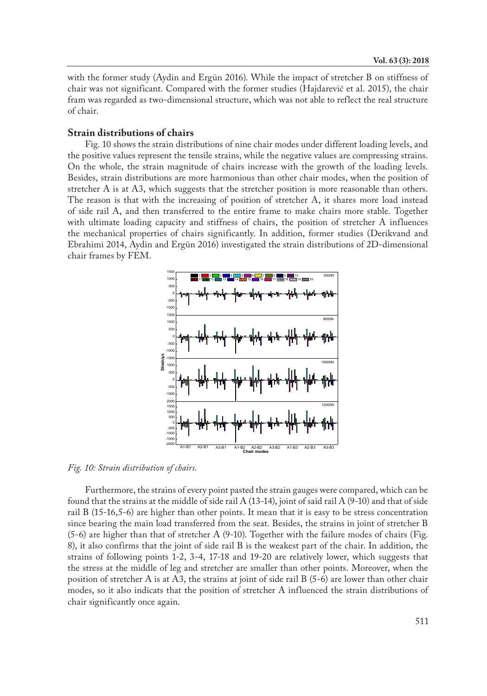with the former study (Aydin and Ergün 2016). While the impact of stretcher B on stiffness of chair was not significant. Compared with the former studies (Hajdarević et al. 2015), the chair fram was regarded as two-dimensional structure, which was not able to reflect the real structure of chair.

## **Strain distributions of chairs**

Fig. 10 shows the strain distributions of nine chair modes under different loading levels, and the positive values represent the tensile strains, while the negative values are compressing strains. On the whole, the strain magnitude of chairs increase with the growth of the loading levels. Besides, strain distributions are more harmonious than other chair modes, when the position of stretcher A is at A3, which suggests that the stretcher position is more reasonable than others. The reason is that with the increasing of position of stretcher A, it shares more load instead of side rail A, and then transferred to the entire frame to make chairs more stable. Together with ultimate loading capacity and stiffness of chairs, the position of stretcher A influences the mechanical properties of chairs significantly. In addition, former studies (Derikvand and Ebrahimi 2014, Aydin and Ergün 2016) investigated the strain distributions of 2D-dimensional chair frames by FEM.



*Fig. 10: Strain distribution of chairs.*

Furthermore, the strains of every point pasted the strain gauges were compared, which can be found that the strains at the middle of side rail A (13-14), joint of said rail A (9-10) and that of side rail B (15-16,5-6) are higher than other points. It mean that it is easy to be stress concentration since bearing the main load transferred from the seat. Besides, the strains in joint of stretcher B (5-6) are higher than that of stretcher A (9-10). Together with the failure modes of chairs (Fig. 8), it also confirms that the joint of side rail B is the weakest part of the chair. In addition, the strains of following points 1-2, 3-4, 17-18 and 19-20 are relatively lower, which suggests that the stress at the middle of leg and stretcher are smaller than other points. Moreover, when the position of stretcher A is at A3, the strains at joint of side rail B (5-6) are lower than other chair modes, so it also indicats that the position of stretcher A influenced the strain distributions of chair significantly once again.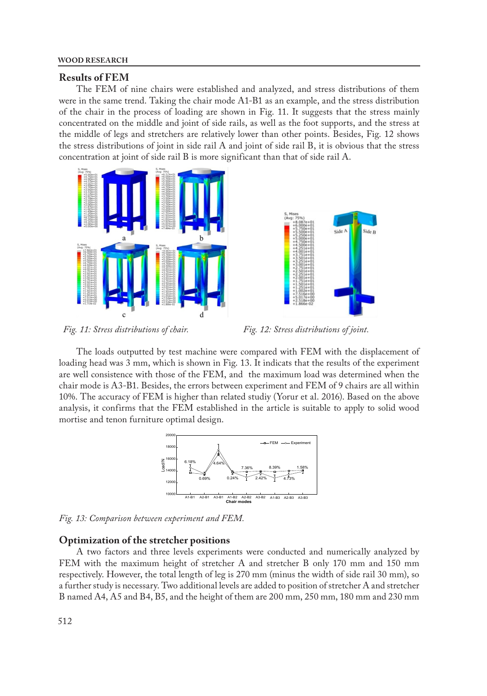## **Results of FEM**

The FEM of nine chairs were established and analyzed, and stress distributions of them were in the same trend. Taking the chair mode A1-B1 as an example, and the stress distribution of the chair in the process of loading are shown in Fig. 11. It suggests that the stress mainly concentrated on the middle and joint of side rails, as well as the foot supports, and the stress at the middle of legs and stretchers are relatively lower than other points. Besides, Fig. 12 shows the stress distributions of joint in side rail A and joint of side rail B, it is obvious that the stress concentration at joint of side rail B is more significant than that of side rail A.





*Fig. 11: Stress distributions of chair. Fig. 12: Stress distributions of joint.*

The loads outputted by test machine were compared with FEM with the displacement of loading head was 3 mm, which is shown in Fig. 13. It indicats that the results of the experiment are well consistence with those of the FEM, and the maximum load was determined when the chair mode is A3-B1. Besides, the errors between experiment and FEM of 9 chairs are all within 10%. The accuracy of FEM is higher than related studiy (Yorur et al. 2016). Based on the above analysis, it confirms that the FEM established in the article is suitable to apply to solid wood mortise and tenon furniture optimal design.



*Fig. 13: Comparison between experiment and FEM.*

#### **Optimization of the stretcher positions**

A two factors and three levels experiments were conducted and numerically analyzed by FEM with the maximum height of stretcher A and stretcher B only 170 mm and 150 mm respectively. However, the total length of leg is 270 mm (minus the width of side rail 30 mm), so a further study is necessary. Two additional levels are added to position of stretcher A and stretcher B named A4, A5 and B4, B5, and the height of them are 200 mm, 250 mm, 180 mm and 230 mm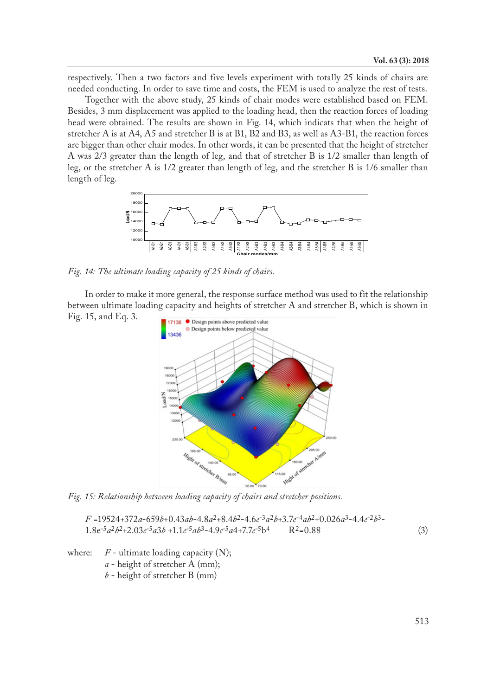respectively. Then a two factors and five levels experiment with totally 25 kinds of chairs are needed conducting. In order to save time and costs, the FEM is used to analyze the rest of tests.

Together with the above study, 25 kinds of chair modes were established based on FEM. Besides, 3 mm displacement was applied to the loading head, then the reaction forces of loading head were obtained. The results are shown in Fig. 14, which indicats that when the height of stretcher A is at A4, A5 and stretcher B is at B1, B2 and B3, as well as A3-B1, the reaction forces are bigger than other chair modes. In other words, it can be presented that the height of stretcher A was 2/3 greater than the length of leg, and that of stretcher B is 1/2 smaller than length of leg, or the stretcher A is 1/2 greater than length of leg, and the stretcher B is 1/6 smaller than length of leg.



*Fig. 14: The ultimate loading capacity of 25 kinds of chairs.*

In order to make it more general, the response surface method was used to fit the relationship between ultimate loading capacity and heights of stretcher A and stretcher B, which is shown in Fig. 15, and Eq. 3.



*Fig. 15: Relationship between loading capacity of chairs and stretcher positions.*

*F* =19524+372*a*-659*b*+0.43*ab*-4.8*a*2+8.4*b*2-4.6*e*-3*a*2*b*+3.7*e*-4*ab*2+0.026*a*3-4.4*e*-2*b*3- 1.8e-5*a*2*b*2+2.03*e*-5*a*3*b* +1.1*e*-5*ab*3-4.9*e*-5*a*4+7.7*e*-5b4 R2=0.88 (3)

where:  $F$  - ultimate loading capacity (N);

*a* - height of stretcher A (mm);

*b* - height of stretcher B (mm)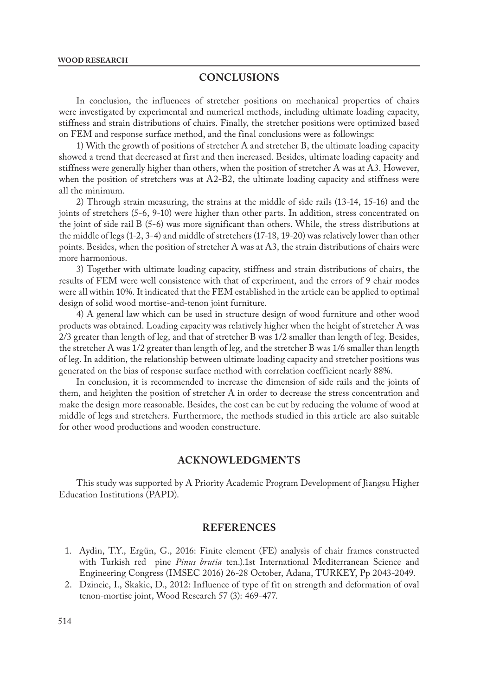## **CONCLUSIONS**

In conclusion, the influences of stretcher positions on mechanical properties of chairs were investigated by experimental and numerical methods, including ultimate loading capacity, stiffness and strain distributions of chairs. Finally, the stretcher positions were optimized based on FEM and response surface method, and the final conclusions were as followings:

1) With the growth of positions of stretcher A and stretcher B, the ultimate loading capacity showed a trend that decreased at first and then increased. Besides, ultimate loading capacity and stiffness were generally higher than others, when the position of stretcher A was at A3. However, when the position of stretchers was at A2-B2, the ultimate loading capacity and stiffness were all the minimum.

2) Through strain measuring, the strains at the middle of side rails (13-14, 15-16) and the joints of stretchers (5-6, 9-10) were higher than other parts. In addition, stress concentrated on the joint of side rail B (5-6) was more significant than others. While, the stress distributions at the middle of legs (1-2, 3-4) and middle of stretchers (17-18, 19-20) was relatively lower than other points. Besides, when the position of stretcher A was at A3, the strain distributions of chairs were more harmonious.

3) Together with ultimate loading capacity, stiffness and strain distributions of chairs, the results of FEM were well consistence with that of experiment, and the errors of 9 chair modes were all within 10%. It indicated that the FEM established in the article can be applied to optimal design of solid wood mortise-and-tenon joint furniture.

4) A general law which can be used in structure design of wood furniture and other wood products was obtained. Loading capacity was relatively higher when the height of stretcher A was 2/3 greater than length of leg, and that of stretcher B was 1/2 smaller than length of leg. Besides, the stretcher A was 1/2 greater than length of leg, and the stretcher B was 1/6 smaller than length of leg. In addition, the relationship between ultimate loading capacity and stretcher positions was generated on the bias of response surface method with correlation coefficient nearly 88%.

In conclusion, it is recommended to increase the dimension of side rails and the joints of them, and heighten the position of stretcher A in order to decrease the stress concentration and make the design more reasonable. Besides, the cost can be cut by reducing the volume of wood at middle of legs and stretchers. Furthermore, the methods studied in this article are also suitable for other wood productions and wooden constructure.

## **ACKNOWLEDGMENTS**

This study was supported by A Priority Academic Program Development of Jiangsu Higher Education Institutions (PAPD).

## **REFERENCES**

- 1. Aydin, T.Y., Ergün, G., 2016: Finite element (FE) analysis of chair frames constructed with Turkish red pine *Pinus brutia* ten.).1st International Mediterranean Science and Engineering Congress (IMSEC 2016) 26-28 October, Adana, TURKEY, Pp 2043-2049.
- 2. Dzincic, I., Skakic, D., 2012: Influence of type of fit on strength and deformation of oval tenon-mortise joint, Wood Research 57 (3): 469-477.